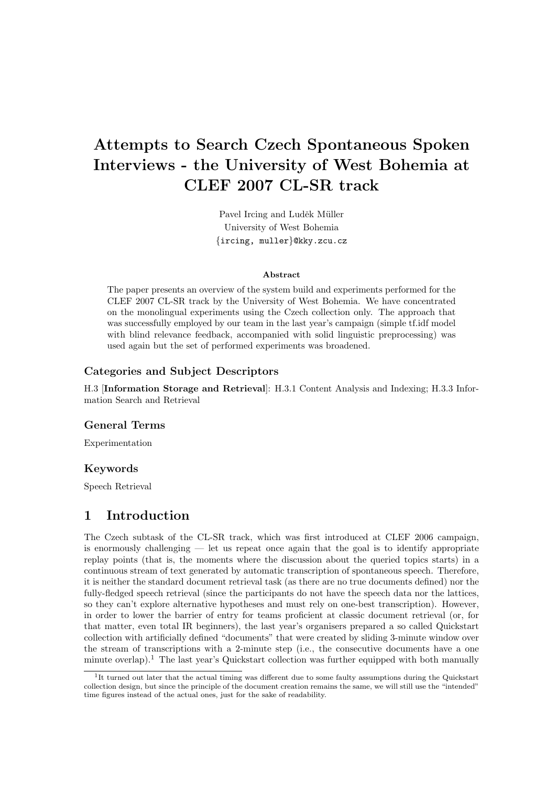# Attempts to Search Czech Spontaneous Spoken Interviews - the University of West Bohemia at CLEF 2007 CL-SR track

Pavel Ircing and Luděk Müller University of West Bohemia {ircing, muller}@kky.zcu.cz

#### Abstract

The paper presents an overview of the system build and experiments performed for the CLEF 2007 CL-SR track by the University of West Bohemia. We have concentrated on the monolingual experiments using the Czech collection only. The approach that was successfully employed by our team in the last year's campaign (simple tf.idf model with blind relevance feedback, accompanied with solid linguistic preprocessing) was used again but the set of performed experiments was broadened.

## Categories and Subject Descriptors

H.3 [Information Storage and Retrieval]: H.3.1 Content Analysis and Indexing; H.3.3 Information Search and Retrieval

## General Terms

Experimentation

## Keywords

Speech Retrieval

# 1 Introduction

The Czech subtask of the CL-SR track, which was first introduced at CLEF 2006 campaign, is enormously challenging — let us repeat once again that the goal is to identify appropriate replay points (that is, the moments where the discussion about the queried topics starts) in a continuous stream of text generated by automatic transcription of spontaneous speech. Therefore, it is neither the standard document retrieval task (as there are no true documents defined) nor the fully-fledged speech retrieval (since the participants do not have the speech data nor the lattices, so they can't explore alternative hypotheses and must rely on one-best transcription). However, in order to lower the barrier of entry for teams proficient at classic document retrieval (or, for that matter, even total IR beginners), the last year's organisers prepared a so called Quickstart collection with artificially defined "documents" that were created by sliding 3-minute window over the stream of transcriptions with a 2-minute step (i.e., the consecutive documents have a one minute overlap).<sup>1</sup> The last year's Quickstart collection was further equipped with both manually

<sup>&</sup>lt;sup>1</sup>It turned out later that the actual timing was different due to some faulty assumptions during the Quickstart collection design, but since the principle of the document creation remains the same, we will still use the "intended" time figures instead of the actual ones, just for the sake of readability.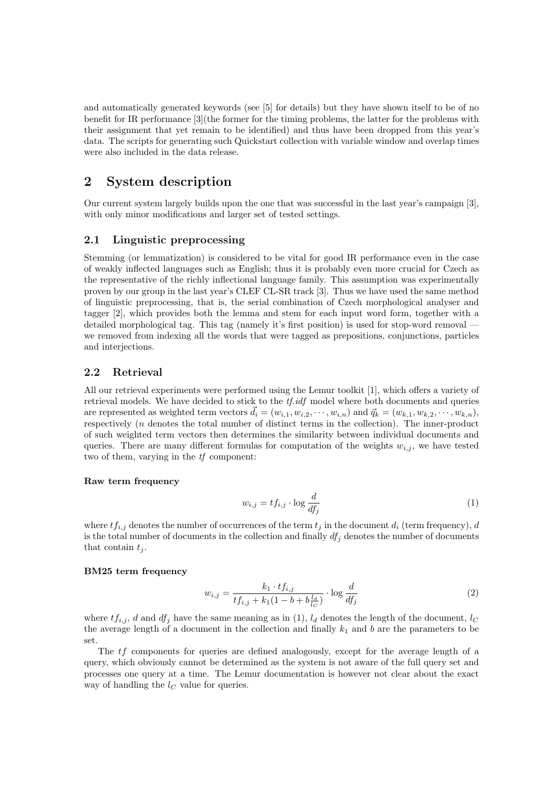and automatically generated keywords (see [5] for details) but they have shown itself to be of no benefit for IR performance [3](the former for the timing problems, the latter for the problems with their assignment that yet remain to be identified) and thus have been dropped from this year's data. The scripts for generating such Quickstart collection with variable window and overlap times were also included in the data release.

# 2 System description

Our current system largely builds upon the one that was successful in the last year's campaign [3], with only minor modifications and larger set of tested settings.

## 2.1 Linguistic preprocessing

Stemming (or lemmatization) is considered to be vital for good IR performance even in the case of weakly inflected languages such as English; thus it is probably even more crucial for Czech as the representative of the richly inflectional language family. This assumption was experimentally proven by our group in the last year's CLEF CL-SR track [3]. Thus we have used the same method of linguistic preprocessing, that is, the serial combination of Czech morphological analyser and tagger [2], which provides both the lemma and stem for each input word form, together with a detailed morphological tag. This tag (namely it's first position) is used for stop-word removal we removed from indexing all the words that were tagged as prepositions, conjunctions, particles and interjections.

## 2.2 Retrieval

All our retrieval experiments were performed using the Lemur toolkit [1], which offers a variety of retrieval models. We have decided to stick to the  $tf.idf$  model where both documents and queries are represented as weighted term vectors  $\vec{d}_i = (w_{i,1}, w_{i,2}, \cdots, w_{i,n})$  and  $\vec{q}_k = (w_{k,1}, w_{k,2}, \cdots, w_{k,n}),$ respectively (n denotes the total number of distinct terms in the collection). The inner-product of such weighted term vectors then determines the similarity between individual documents and queries. There are many different formulas for computation of the weights  $w_{i,j}$ , we have tested two of them, varying in the tf component:

#### Raw term frequency

$$
w_{i,j} = tf_{i,j} \cdot \log \frac{d}{df_j} \tag{1}
$$

where  $tf_{i,j}$  denotes the number of occurrences of the term  $t_j$  in the document  $d_i$  (term frequency), d is the total number of documents in the collection and finally  $df_i$  denotes the number of documents that contain  $t_i$ .

#### BM25 term frequency

$$
w_{i,j} = \frac{k_1 \cdot tf_{i,j}}{tf_{i,j} + k_1(1 - b + b\frac{l_d}{l_C})} \cdot \log \frac{d}{df_j}
$$
 (2)

where  $tf_{i,j}$ , d and  $df_i$  have the same meaning as in (1),  $l_d$  denotes the length of the document,  $l_c$ the average length of a document in the collection and finally  $k_1$  and b are the parameters to be set.

The tf components for queries are defined analogously, except for the average length of a query, which obviously cannot be determined as the system is not aware of the full query set and processes one query at a time. The Lemur documentation is however not clear about the exact way of handling the  $l_C$  value for queries.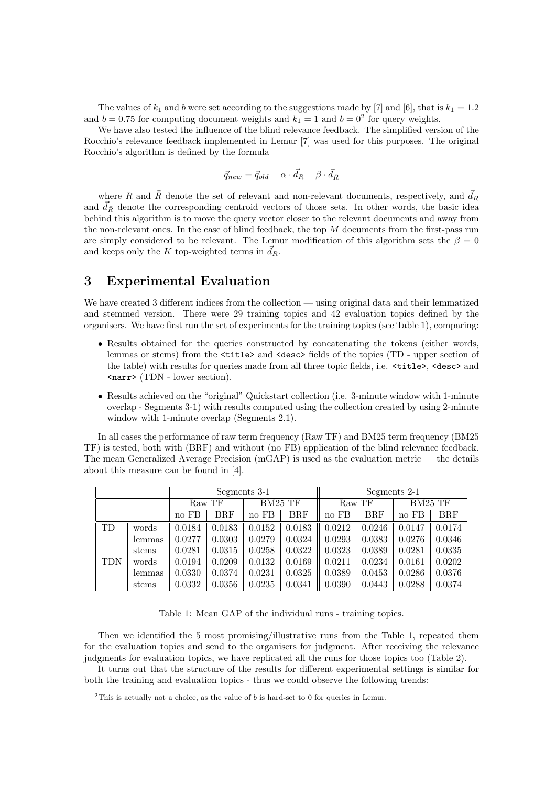The values of  $k_1$  and b were set according to the suggestions made by [7] and [6], that is  $k_1 = 1.2$ and  $b = 0.75$  for computing document weights and  $k_1 = 1$  and  $b = 0^2$  for query weights.

We have also tested the influence of the blind relevance feedback. The simplified version of the Rocchio's relevance feedback implemented in Lemur [7] was used for this purposes. The original Rocchio's algorithm is defined by the formula

$$
\vec{q}_{new} = \vec{q}_{old} + \alpha \cdot \vec{d}_R - \beta \cdot \vec{d}_{\bar{R}}
$$

where R and  $\bar{R}$  denote the set of relevant and non-relevant documents, respectively, and  $\vec{d}_R$ and  $d_{\bar{R}}$  denote the corresponding centroid vectors of those sets. In other words, the basic idea behind this algorithm is to move the query vector closer to the relevant documents and away from the non-relevant ones. In the case of blind feedback, the top M documents from the first-pass run are simply considered to be relevant. The Lemur modification of this algorithm sets the  $\beta = 0$ and keeps only the K top-weighted terms in  $d_R$ .

## 3 Experimental Evaluation

We have created 3 different indices from the collection — using original data and their lemmatized and stemmed version. There were 29 training topics and 42 evaluation topics defined by the organisers. We have first run the set of experiments for the training topics (see Table 1), comparing:

- Results obtained for the queries constructed by concatenating the tokens (either words, lemmas or stems) from the <title> and <desc> fields of the topics (TD - upper section of the table) with results for queries made from all three topic fields, i.e. <title>, <desc> and <narr> (TDN - lower section).
- Results achieved on the "original" Quickstart collection (i.e. 3-minute window with 1-minute overlap - Segments 3-1) with results computed using the collection created by using 2-minute window with 1-minute overlap (Segments 2.1).

In all cases the performance of raw term frequency (Raw TF) and BM25 term frequency (BM25 TF) is tested, both with (BRF) and without (no FB) application of the blind relevance feedback. The mean Generalized Average Precision  $(mGAP)$  is used as the evaluation metric — the details about this measure can be found in [4].

|            |        | Segments 3-1 |            |          |        | Segments 2-1 |            |           |        |
|------------|--------|--------------|------------|----------|--------|--------------|------------|-----------|--------|
|            |        | Raw TF       |            | BM25 TF  |        | Raw TF       |            | BM25 TF   |        |
|            |        | $no$ $FB$    | <b>BRF</b> | $no$ -FB | BRF    | $no$ $FB$    | <b>BRF</b> | $no$ $FB$ | BRF    |
| <b>TD</b>  | words  | 0.0184       | 0.0183     | 0.0152   | 0.0183 | 0.0212       | 0.0246     | 0.0147    | 0.0174 |
|            | lemmas | 0.0277       | 0.0303     | 0.0279   | 0.0324 | 0.0293       | 0.0383     | 0.0276    | 0.0346 |
|            | stems  | 0.0281       | 0.0315     | 0.0258   | 0.0322 | 0.0323       | 0.0389     | 0.0281    | 0.0335 |
| <b>TDN</b> | words  | 0.0194       | 0.0209     | 0.0132   | 0.0169 | 0.0211       | 0.0234     | 0.0161    | 0.0202 |
|            | lemmas | 0.0330       | 0.0374     | 0.0231   | 0.0325 | 0.0389       | 0.0453     | 0.0286    | 0.0376 |
|            | stems  | 0.0332       | 0.0356     | 0.0235   | 0.0341 | 0.0390       | 0.0443     | 0.0288    | 0.0374 |

Table 1: Mean GAP of the individual runs - training topics.

Then we identified the 5 most promising/illustrative runs from the Table 1, repeated them for the evaluation topics and send to the organisers for judgment. After receiving the relevance judgments for evaluation topics, we have replicated all the runs for those topics too (Table 2).

It turns out that the structure of the results for different experimental settings is similar for both the training and evaluation topics - thus we could observe the following trends:

 $^{2}$ This is actually not a choice, as the value of b is hard-set to 0 for queries in Lemur.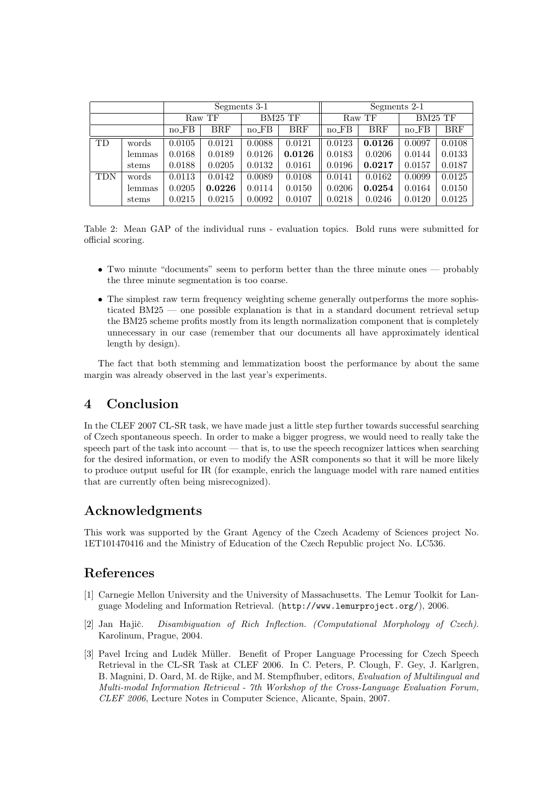|            |        | Segments 3-1 |            |           |            | Segments 2-1 |              |           |        |
|------------|--------|--------------|------------|-----------|------------|--------------|--------------|-----------|--------|
|            |        | Raw TF       |            | BM25 TF   |            | Raw TF       |              | BM25 TF   |        |
|            |        | $no$ $FB$    | <b>BRF</b> | $no$ $FB$ | <b>BRF</b> | $no$ $FB$    | $_{\rm BRF}$ | $no$ $FB$ | BRF    |
| <b>TD</b>  | words  | 0.0105       | 0.0121     | 0.0088    | 0.0121     | 0.0123       | 0.0126       | 0.0097    | 0.0108 |
|            | lemmas | 0.0168       | 0.0189     | 0.0126    | 0.0126     | 0.0183       | 0.0206       | 0.0144    | 0.0133 |
|            | stems  | 0.0188       | 0.0205     | 0.0132    | 0.0161     | 0.0196       | 0.0217       | 0.0157    | 0.0187 |
| <b>TDN</b> | words  | 0.0113       | 0.0142     | 0.0089    | 0.0108     | 0.0141       | 0.0162       | 0.0099    | 0.0125 |
|            | lemmas | 0.0205       | 0.0226     | 0.0114    | 0.0150     | 0.0206       | 0.0254       | 0.0164    | 0.0150 |
|            | stems  | 0.0215       | 0.0215     | 0.0092    | 0.0107     | 0.0218       | 0.0246       | 0.0120    | 0.0125 |

Table 2: Mean GAP of the individual runs - evaluation topics. Bold runs were submitted for official scoring.

- Two minute "documents" seem to perform better than the three minute ones probably the three minute segmentation is too coarse.
- The simplest raw term frequency weighting scheme generally outperforms the more sophisticated BM25 — one possible explanation is that in a standard document retrieval setup the BM25 scheme profits mostly from its length normalization component that is completely unnecessary in our case (remember that our documents all have approximately identical length by design).

The fact that both stemming and lemmatization boost the performance by about the same margin was already observed in the last year's experiments.

# 4 Conclusion

In the CLEF 2007 CL-SR task, we have made just a little step further towards successful searching of Czech spontaneous speech. In order to make a bigger progress, we would need to really take the speech part of the task into account — that is, to use the speech recognizer lattices when searching for the desired information, or even to modify the ASR components so that it will be more likely to produce output useful for IR (for example, enrich the language model with rare named entities that are currently often being misrecognized).

# Acknowledgments

This work was supported by the Grant Agency of the Czech Academy of Sciences project No. 1ET101470416 and the Ministry of Education of the Czech Republic project No. LC536.

# References

- [1] Carnegie Mellon University and the University of Massachusetts. The Lemur Toolkit for Language Modeling and Information Retrieval. (http://www.lemurproject.org/), 2006.
- [2] Jan Hajič. Disambiguation of Rich Inflection. (Computational Morphology of Czech). Karolinum, Prague, 2004.
- [3] Pavel Ircing and Luděk Müller. Benefit of Proper Language Processing for Czech Speech Retrieval in the CL-SR Task at CLEF 2006. In C. Peters, P. Clough, F. Gey, J. Karlgren, B. Magnini, D. Oard, M. de Rijke, and M. Stempfhuber, editors, Evaluation of Multilingual and Multi-modal Information Retrieval - 7th Workshop of the Cross-Language Evaluation Forum, CLEF 2006, Lecture Notes in Computer Science, Alicante, Spain, 2007.